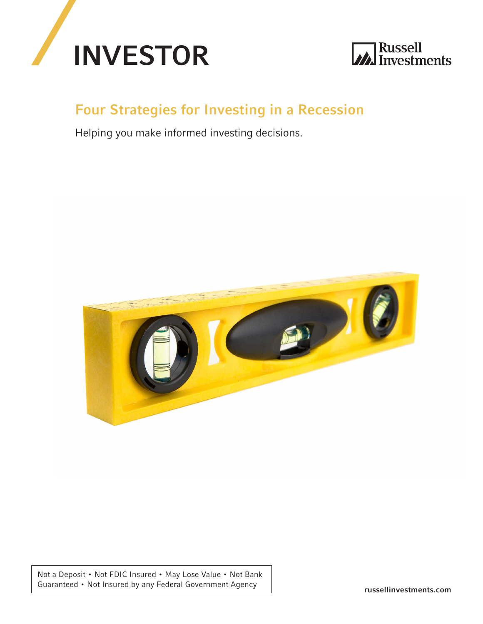



## Four Strategies for Investing in a Recession

Helping you make informed investing decisions.



Not a Deposit • Not FDIC Insured • May Lose Value • Not Bank Guaranteed • Not Insured by any Federal Government Agency russellinvestments.com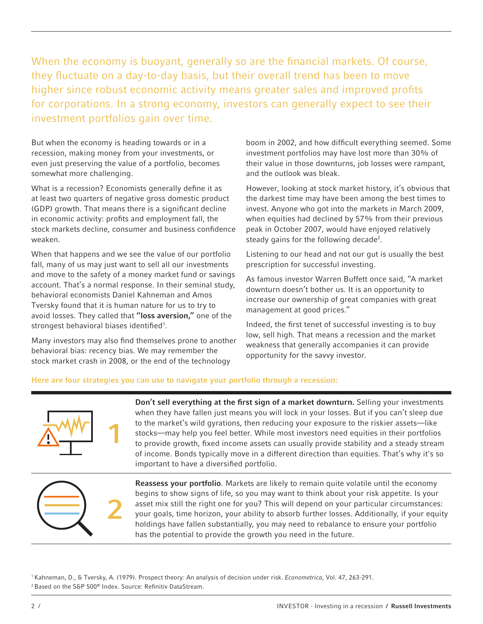When the economy is buoyant, generally so are the financial markets. Of course, they fluctuate on a day-to-day basis, but their overall trend has been to move higher since robust economic activity means greater sales and improved profits for corporations. In a strong economy, investors can generally expect to see their investment portfolios gain over time.

But when the economy is heading towards or in a recession, making money from your investments, or even just preserving the value of a portfolio, becomes somewhat more challenging.

What is a recession? Economists generally define it as at least two quarters of negative gross domestic product (GDP) growth. That means there is a significant decline in economic activity: profits and employment fall, the stock markets decline, consumer and business confidence weaken.

When that happens and we see the value of our portfolio fall, many of us may just want to sell all our investments and move to the safety of a money market fund or savings account. That's a normal response. In their seminal study, behavioral economists Daniel Kahneman and Amos Tversky found that it is human nature for us to try to avoid losses. They called that "loss aversion," one of the strongest behavioral biases identified<sup>1</sup>.

Many investors may also find themselves prone to another behavioral bias: recency bias. We may remember the stock market crash in 2008, or the end of the technology

boom in 2002, and how difficult everything seemed. Some investment portfolios may have lost more than 30% of their value in those downturns, job losses were rampant, and the outlook was bleak.

However, looking at stock market history, it's obvious that the darkest time may have been among the best times to invest. Anyone who got into the markets in March 2009, when equities had declined by 57% from their previous peak in October 2007, would have enjoyed relatively steady gains for the following decade<sup>2</sup>.

Listening to our head and not our gut is usually the best prescription for successful investing.

As famous investor Warren Buffett once said, "A market downturn doesn't bother us. It is an opportunity to increase our ownership of great companies with great management at good prices."

Indeed, the first tenet of successful investing is to buy low, sell high. That means a recession and the market weakness that generally accompanies it can provide opportunity for the savvy investor.

### Here are four strategies you can use to navigate your portfolio through a recession:



Don't sell everything at the first sign of a market downturn. Selling your investments when they have fallen just means you will lock in your losses. But if you can't sleep due to the market's wild gyrations, then reducing your exposure to the riskier assets—like stocks—may help you feel better. While most investors need equities in their portfolios to provide growth, fixed income assets can usually provide stability and a steady stream of income. Bonds typically move in a different direction than equities. That's why it's so important to have a diversified portfolio.



Reassess your portfolio. Markets are likely to remain quite volatile until the economy begins to show signs of life, so you may want to think about your risk appetite. Is your asset mix still the right one for you? This will depend on your particular circumstances: your goals, time horizon, your ability to absorb further losses. Additionally, if your equity holdings have fallen substantially, you may need to rebalance to ensure your portfolio has the potential to provide the growth you need in the future.

1 Kahneman, D., & Tversky, A. (1979). Prospect theory: An analysis of decision under risk. *Econometrica*, Vol. 47, 263-291. 2 Based on the S&P 500® Index. Source: Refinitiv DataStream.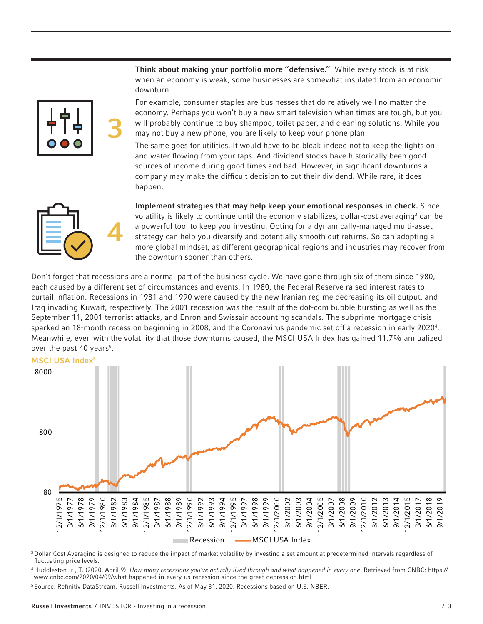

Think about making your portfolio more "defensive." While every stock is at risk when an economy is weak, some businesses are somewhat insulated from an economic downturn.

For example, consumer staples are businesses that do relatively well no matter the economy. Perhaps you won't buy a new smart television when times are tough, but you will probably continue to buy shampoo, toilet paper, and cleaning solutions. While you may not buy a new phone, you are likely to keep your phone plan.

The same goes for utilities. It would have to be bleak indeed not to keep the lights on and water flowing from your taps. And dividend stocks have historically been good sources of income during good times and bad. However, in significant downturns a company may make the difficult decision to cut their dividend. While rare, it does happen.



Implement strategies that may help keep your emotional responses in check. Since volatility is likely to continue until the economy stabilizes, dollar-cost averaging<sup>3</sup> can be a powerful tool to keep you investing. Opting for a dynamically-managed multi-asset strategy can help you diversify and potentially smooth out returns. So can adopting a more global mindset, as different geographical regions and industries may recover from the downturn sooner than others.

Don't forget that recessions are a normal part of the business cycle. We have gone through six of them since 1980, each caused by a different set of circumstances and events. In 1980, the Federal Reserve raised interest rates to curtail inflation. Recessions in 1981 and 1990 were caused by the new Iranian regime decreasing its oil output, and Iraq invading Kuwait, respectively. The 2001 recession was the result of the dot-com bubble bursting as well as the September 11, 2001 terrorist attacks, and Enron and Swissair accounting scandals. The subprime mortgage crisis sparked an 18-month recession beginning in 2008, and the Coronavirus pandemic set off a recession in early 2020<sup>4</sup>. Meanwhile, even with the volatility that those downturns caused, the MSCI USA Index has gained 11.7% annualized over the past 40 years<sup>5</sup>.



<sup>3</sup> Dollar Cost Averaging is designed to reduce the impact of market volatility by investing a set amount at predetermined intervals regardless of fluctuating price levels.

4 Huddleston Jr., T. (2020, April 9). *How many recessions you've actually lived through and what happened in every one*. Retrieved from CNBC: https:// www.cnbc.com/2020/04/09/what-happened-in-every-us-recession-since-the-great-depression.html

5 Source: Refinitiv DataStream, Russell Investments. As of May 31, 2020. Recessions based on U.S. NBER.